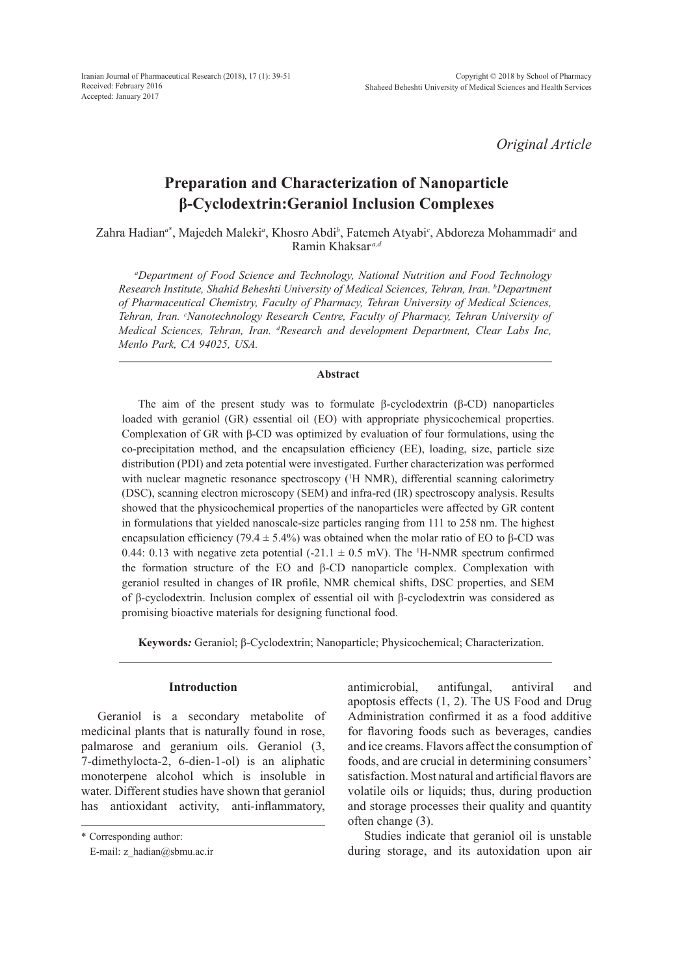*Original Article*

# **Preparation and Characterization of Nanoparticle β-Cyclodextrin:Geraniol Inclusion Complexes**

Zahra Hadian<sup>a\*</sup>, Majedeh Maleki<sup>a</sup>, Khosro Abdi<sup>b</sup>, Fatemeh Atyabi<sup>c</sup>, Abdoreza Mohammadi<sup>a</sup> and Ramin Khaksar *a,d*

*a Department of Food Science and Technology, National Nutrition and Food Technology Research Institute, Shahid Beheshti University of Medical Sciences, Tehran, Iran. b Department of Pharmaceutical Chemistry, Faculty of Pharmacy, Tehran University of Medical Sciences, Tehran, Iran. c Nanotechnology Research Centre, Faculty of Pharmacy, Tehran University of Medical Sciences, Tehran, Iran. d Research and development Department, Clear Labs Inc, Menlo Park, CA 94025, USA.*

### **Abstract**

The aim of the present study was to formulate β-cyclodextrin (β-CD) nanoparticles loaded with geraniol (GR) essential oil (EO) with appropriate physicochemical properties. Complexation of GR with β-CD was optimized by evaluation of four formulations, using the co-precipitation method, and the encapsulation efficiency (EE), loading, size, particle size distribution (PDI) and zeta potential were investigated. Further characterization was performed with nuclear magnetic resonance spectroscopy (<sup>1</sup>H NMR), differential scanning calorimetry (DSC), scanning electron microscopy (SEM) and infra-red (IR) spectroscopy analysis. Results showed that the physicochemical properties of the nanoparticles were affected by GR content in formulations that yielded nanoscale-size particles ranging from 111 to 258 nm. The highest encapsulation efficiency (79.4  $\pm$  5.4%) was obtained when the molar ratio of EO to β-CD was 0.44: 0.13 with negative zeta potential  $(-21.1 \pm 0.5 \text{ mV})$ . The <sup>1</sup>H-NMR spectrum confirmed the formation structure of the EO and β-CD nanoparticle complex. Complexation with geraniol resulted in changes of IR profile, NMR chemical shifts, DSC properties, and SEM of β-cyclodextrin. Inclusion complex of essential oil with β-cyclodextrin was considered as promising bioactive materials for designing functional food.

**Keywords***:* Geraniol; β-Cyclodextrin; Nanoparticle; Physicochemical; Characterization.

## **Introduction**

Geraniol is a secondary metabolite of medicinal plants that is naturally found in rose, palmarose and geranium oils. Geraniol (3, 7-dimethylocta-2, 6-dien-1-ol) is an aliphatic monoterpene alcohol which is insoluble in water. Different studies have shown that geraniol has antioxidant activity, anti-inflammatory, antimicrobial, antifungal, antiviral and apoptosis effects (1, 2). The US Food and Drug Administration confirmed it as a food additive for flavoring foods such as beverages, candies and ice creams. Flavors affect the consumption of foods, and are crucial in determining consumers' satisfaction. Most natural and artificial flavors are volatile oils or liquids; thus, during production and storage processes their quality and quantity often change (3).

Studies indicate that geraniol oil is unstable during storage, and its autoxidation upon air

<sup>\*</sup> Corresponding author:

E-mail: z\_hadian@sbmu.ac.ir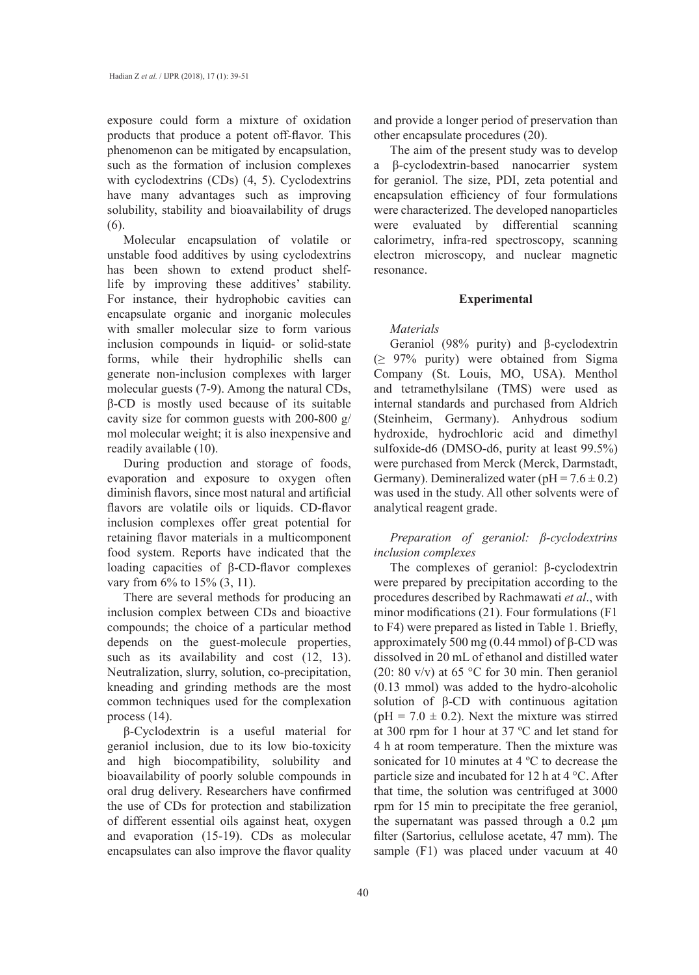exposure could form a mixture of oxidation products that produce a potent off-flavor. This phenomenon can be mitigated by encapsulation, such as the formation of inclusion complexes with cyclodextrins (CDs) (4, 5). Cyclodextrins have many advantages such as improving solubility, stability and bioavailability of drugs (6).

Molecular encapsulation of volatile or unstable food additives by using cyclodextrins has been shown to extend product shelflife by improving these additives' stability. For instance, their hydrophobic cavities can encapsulate organic and inorganic molecules with smaller molecular size to form various inclusion compounds in liquid- or solid-state forms, while their hydrophilic shells can generate non-inclusion complexes with larger molecular guests (7-9). Among the natural CDs, β-CD is mostly used because of its suitable cavity size for common guests with 200-800 g/ mol molecular weight; it is also inexpensive and readily available (10).

During production and storage of foods, evaporation and exposure to oxygen often diminish flavors, since most natural and artificial flavors are volatile oils or liquids. CD-flavor inclusion complexes offer great potential for retaining flavor materials in a multicomponent food system. Reports have indicated that the loading capacities of β-CD-flavor complexes vary from 6% to 15% (3, 11).

There are several methods for producing an inclusion complex between CDs and bioactive compounds; the choice of a particular method depends on the guest-molecule properties, such as its availability and cost  $(12, 13)$ . Neutralization, slurry, solution, co-precipitation, kneading and grinding methods are the most common techniques used for the complexation process (14).

β-Cyclodextrin is a useful material for geraniol inclusion, due to its low bio-toxicity and high biocompatibility, solubility and bioavailability of poorly soluble compounds in oral drug delivery. Researchers have confirmed the use of CDs for protection and stabilization of different essential oils against heat, oxygen and evaporation (15-19). CDs as molecular encapsulates can also improve the flavor quality and provide a longer period of preservation than other encapsulate procedures (20).

The aim of the present study was to develop a β-cyclodextrin-based nanocarrier system for geraniol. The size, PDI, zeta potential and encapsulation efficiency of four formulations were characterized. The developed nanoparticles were evaluated by differential scanning calorimetry, infra-red spectroscopy, scanning electron microscopy, and nuclear magnetic resonance.

### **Experimental**

### *Materials*

Geraniol (98% purity) and β-cyclodextrin  $(≥ 97%$  purity) were obtained from Sigma Company (St. Louis, MO, USA). Menthol and tetramethylsilane (TMS) were used as internal standards and purchased from Aldrich (Steinheim, Germany). Anhydrous sodium hydroxide, hydrochloric acid and dimethyl sulfoxide-d6 (DMSO-d6, purity at least 99.5%) were purchased from Merck (Merck, Darmstadt, Germany). Demineralized water ( $pH = 7.6 \pm 0.2$ ) was used in the study. All other solvents were of analytical reagent grade.

*Preparation of geraniol: β-cyclodextrins inclusion complexes*

The complexes of geraniol: β-cyclodextrin were prepared by precipitation according to the procedures described by Rachmawati *et al*., with minor modifications (21). Four formulations (F1 to F4) were prepared as listed in Table 1. Briefly, approximately 500 mg (0.44 mmol) of  $β$ -CD was dissolved in 20 mL of ethanol and distilled water (20: 80 v/v) at 65 °C for 30 min. Then geraniol (0.13 mmol) was added to the hydro-alcoholic solution of  $\beta$ -CD with continuous agitation (pH =  $7.0 \pm 0.2$ ). Next the mixture was stirred at 300 rpm for 1 hour at 37 ºC and let stand for 4 h at room temperature. Then the mixture was sonicated for 10 minutes at 4 ºC to decrease the particle size and incubated for 12 h at 4 °C. After that time, the solution was centrifuged at 3000 rpm for 15 min to precipitate the free geraniol, the supernatant was passed through a 0.2 μm filter (Sartorius, cellulose acetate, 47 mm). The sample (F1) was placed under vacuum at 40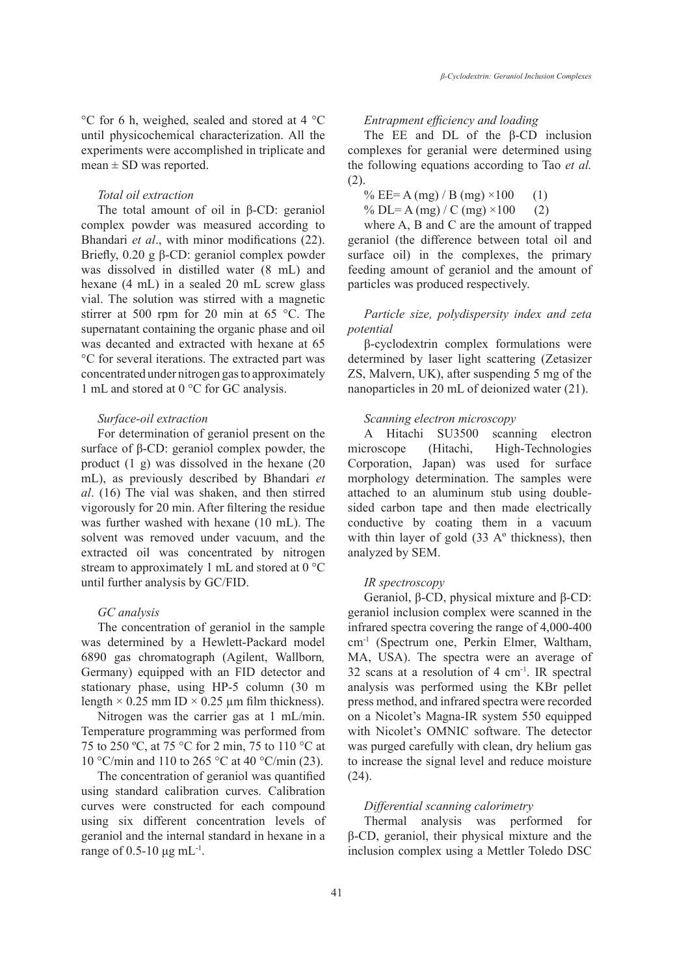°C for 6 h, weighed, sealed and stored at 4 °C until physicochemical characterization. All the experiments were accomplished in triplicate and mean  $\pm$  SD was reported.

### *Total oil extraction*

The total amount of oil in β-CD: geraniol complex powder was measured according to Bhandari *et al*., with minor modifications (22). Briefly, 0.20 g β-CD: geraniol complex powder was dissolved in distilled water (8 mL) and hexane (4 mL) in a sealed 20 mL screw glass vial. The solution was stirred with a magnetic stirrer at 500 rpm for 20 min at 65 °C. The supernatant containing the organic phase and oil was decanted and extracted with hexane at 65 °C for several iterations. The extracted part was concentrated under nitrogen gas to approximately 1 mL and stored at 0 °C for GC analysis.

### *Surface-oil extraction*

For determination of geraniol present on the surface of β-CD: geraniol complex powder, the product (1 g) was dissolved in the hexane (20 mL), as previously described by Bhandari *et al*. (16) The vial was shaken, and then stirred vigorously for 20 min. After filtering the residue was further washed with hexane (10 mL). The solvent was removed under vacuum, and the extracted oil was concentrated by nitrogen stream to approximately 1 mL and stored at 0 °C until further analysis by GC/FID.

### *GC analysis*

The concentration of geraniol in the sample was determined by a Hewlett-Packard model 6890 gas chromatograph (Agilent, Wallborn*,*  Germany) equipped with an FID detector and stationary phase, using HP-5 column (30 m length  $\times$  0.25 mm ID  $\times$  0.25 µm film thickness).

Nitrogen was the carrier gas at 1 mL/min. Temperature programming was performed from 75 to 250 ºC, at 75 °C for 2 min, 75 to 110 °C at 10 °C/min and 110 to 265 °C at 40 °C/min (23).

The concentration of geraniol was quantified using standard calibration curves. Calibration curves were constructed for each compound using six different concentration levels of geraniol and the internal standard in hexane in a range of  $0.5$ -10 μg mL<sup>-1</sup>.

### *Entrapment efficiency and loading*

The EE and DL of the β-CD inclusion complexes for geranial were determined using the following equations according to Tao *et al.* (2).

% EE= A (mg) / B (mg)  $\times 100$  (1)

% DL= A (mg) / C (mg)  $\times 100$  (2)

where A, B and C are the amount of trapped geraniol (the difference between total oil and surface oil) in the complexes, the primary feeding amount of geraniol and the amount of particles was produced respectively.

### *Particle size, polydispersity index and zeta potential*

β-cyclodextrin complex formulations were determined by laser light scattering (Zetasizer ZS, Malvern, UK), after suspending 5 mg of the nanoparticles in 20 mL of deionized water (21).

### *Scanning electron microscopy*

A Hitachi SU3500 scanning electron microscope (Hitachi, High-Technologies Corporation, Japan) was used for surface morphology determination. The samples were attached to an aluminum stub using doublesided carbon tape and then made electrically conductive by coating them in a vacuum with thin layer of gold (33 A° thickness), then analyzed by SEM.

### *IR spectroscopy*

Geraniol, β-CD, physical mixture and β-CD: geraniol inclusion complex were scanned in the infrared spectra covering the range of 4,000-400 cm-1 (Spectrum one, Perkin Elmer, Waltham, MA, USA). The spectra were an average of 32 scans at a resolution of 4 cm-1. IR spectral analysis was performed using the KBr pellet press method, and infrared spectra were recorded on a Nicolet's Magna-IR system 550 equipped with Nicolet's OMNIC software. The detector was purged carefully with clean, dry helium gas to increase the signal level and reduce moisture (24).

### *Differential scanning calorimetry*

Thermal analysis was performed for β-CD, geraniol, their physical mixture and the inclusion complex using a Mettler Toledo DSC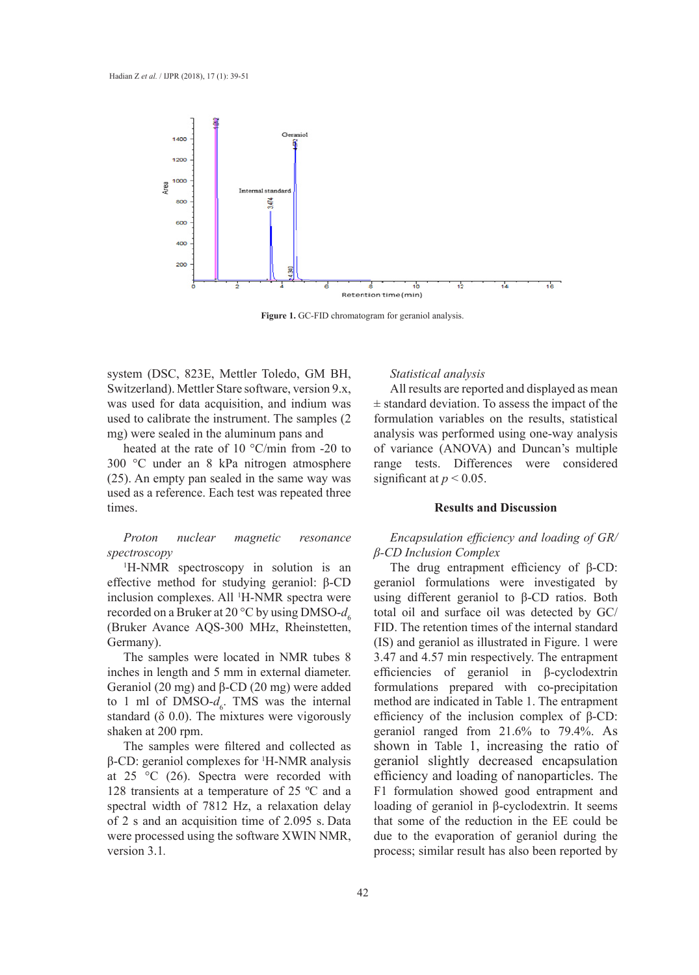

**Figure 1.** GC-FID chromatogram for geraniol analysis. **Figure 1.** GC-FID chromatogram for geraniol analysis.

system (DSC, 823E, Mettler Toledo, GM BH, **Switzerland). Mettler Stare software, version 9.x,** was used for data acquisition, and indium was  $\pm$  standare used to calibrate the instrument. The samples (2 mg) were sealed in the aluminum pans and  *(mollier su*  $\frac{1}{2}$  EQ ( $\frac{1}{2}$   $\frac{1}{2}$   $\frac{1}{2}$   $\frac{1}{2}$   $\frac{1}{2}$   $\frac{1}{2}$   $\frac{1}{2}$   $\frac{1}{2}$   $\frac{1}{2}$ 

heated at the rate of 10 °C/min from -20 to 300 °C under an 8 kPa nitrogen atmosphere (25). An empty pan sealed in the same way was used as a reference. Each test was repeated three times.

*Proton nuclear magnetic resonance spectroscopy*

1 H-NMR spectroscopy in solution is an effective method for studying geraniol: β-CD inclusion complexes. All <sup>1</sup> H-NMR spectra were recorded on a Bruker at 20  $\rm{^{\circ}C}$  by using DMSO- $d_c$ (Bruker Avance AQS-300 MHz, Rheinstetten, Germany).

The samples were located in NMR tubes 8 inches in length and 5 mm in external diameter. Geraniol (20 mg) and β-CD (20 mg) were added to 1 ml of  $DMSO-d_6$ . TMS was the internal standard  $(\delta 0.0)$ . The mixtures were vigorously shaken at 200 rpm.

The samples were filtered and collected as  $β$ -CD: geraniol complexes for <sup>1</sup>H-NMR analysis at  $25 \text{ °C}$  (26). Spectra were recorded with 128 transients at a temperature of 25 ºC and a spectral width of 7812 Hz, a relaxation delay of 2 s and an acquisition time of 2.095 s. Data were processed using the software XWIN NMR, version 3.1*.*

#### *Statistical analysis*  **Total oil**

All results are reported and displayed as mean **(mg)**   $\pm$  standard deviation. To assess the impact of the formulation variables on the results, statistical analysis was performed using one-way analysis of variance (ANOVA) and Duncan's multiple range tests. Differences were considered significant at  $p < 0.05$ .  $\mathfrak{r}$  ich **Recovered powder (mg)** 

### **Results and Discussion**

## *Encapsulation efficiency and loading of GR/ β-CD Inclusion Complex*

The drug entrapment efficiency of β-CD: geraniol formulations were investigated by using different geraniol to β-CD ratios. Both total oil and surface oil was detected by GC/ FID. The retention times of the internal standard (IS) and geraniol as illustrated in Figure. 1 were 3.47 and 4.57 min respectively. The entrapment efficiencies of geraniol in β-cyclodextrin formulations prepared with co-precipitation method are indicated in Table 1. The entrapment efficiency of the inclusion complex of β-CD: geraniol ranged from 21.6% to 79.4%. As shown in Table 1, increasing the ratio of geraniol slightly decreased encapsulation efficiency and loading of nanoparticles. The F1 formulation showed good entrapment and loading of geraniol in β-cyclodextrin. It seems that some of the reduction in the EE could be due to the evaporation of geraniol during the process; similar result has also been reported by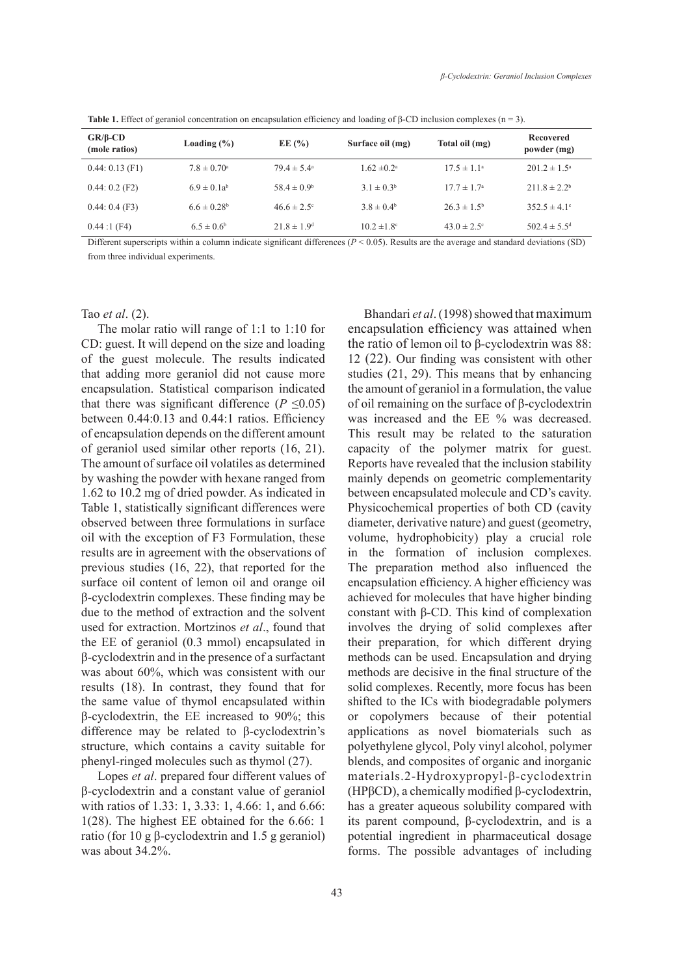| $GR/B$ -CD<br>(mole ratios) | Loading $(\% )$             | EE $(\% )$                  | Surface oil (mg)       | Total oil (mg)         | Recovered<br>powder (mg) |
|-----------------------------|-----------------------------|-----------------------------|------------------------|------------------------|--------------------------|
| $0.44: 0.13$ (F1)           | $7.8 \pm 0.70$ <sup>a</sup> | $79.4 \pm 5.4^{\circ}$      | $1.62 \pm 0.2^{\circ}$ | $17.5 \pm 1.1^{\circ}$ | $201.2 \pm 1.5^{\circ}$  |
| $0.44:0.2$ (F2)             | $6.9 \pm 0.1a^{b}$          | $58.4 \pm 0.9^b$            | $3.1 \pm 0.3^b$        | $17.7 \pm 1.7^{\circ}$ | $211.8 \pm 2.2^b$        |
| 0.44:0.4(F3)                | $6.6 \pm 0.28$ <sup>b</sup> | $46.6 \pm 2.5$ °            | $3.8 \pm 0.4^b$        | $26.3 \pm 1.5^{\circ}$ | 352.5 ± 4.1°             |
| 0.44:1(F4)                  | $6.5 \pm 0.6^b$             | $21.8 \pm 1.9$ <sup>d</sup> | $10.2 \pm 1.8$ °       | $43.0 \pm 2.5$ °       | $502.4 \pm 5.5^{\circ}$  |

**Table 1.** Effect of geraniol concentration on encapsulation efficiency and loading of β-CD inclusion complexes (n = 3).

Different superscripts within a column indicate significant differences ( $P < 0.05$ ). Results are the average and standard deviations (SD) from three individual experiments.

Tao *et al*. (2).

The molar ratio will range of 1:1 to 1:10 for CD: guest. It will depend on the size and loading of the guest molecule. The results indicated that adding more geraniol did not cause more encapsulation. Statistical comparison indicated that there was significant difference ( $P \le 0.05$ ) between 0.44:0.13 and 0.44:1 ratios. Efficiency of encapsulation depends on the different amount of geraniol used similar other reports (16, 21). The amount of surface oil volatiles as determined by washing the powder with hexane ranged from 1.62 to 10.2 mg of dried powder. As indicated in Table 1, statistically significant differences were observed between three formulations in surface oil with the exception of F3 Formulation, these results are in agreement with the observations of previous studies (16, 22), that reported for the surface oil content of lemon oil and orange oil β-cyclodextrin complexes. These finding may be due to the method of extraction and the solvent used for extraction. Mortzinos *et al*., found that the EE of geraniol (0.3 mmol) encapsulated in β-cyclodextrin and in the presence of a surfactant was about 60%, which was consistent with our results (18). In contrast, they found that for the same value of thymol encapsulated within β-cyclodextrin, the EE increased to 90%; this difference may be related to β-cyclodextrin's structure, which contains a cavity suitable for phenyl-ringed molecules such as thymol (27).

Lopes *et al*. prepared four different values of β-cyclodextrin and a constant value of geraniol with ratios of 1.33: 1, 3.33: 1, 4.66: 1, and 6.66: 1(28). The highest EE obtained for the 6.66: 1 ratio (for 10 g β-cyclodextrin and 1.5 g geraniol) was about 34.2%.

Bhandari *et al*. (1998) showed that maximum encapsulation efficiency was attained when the ratio of lemon oil to β-cyclodextrin was 88: 12 (22). Our finding was consistent with other studies (21, 29). This means that by enhancing the amount of geraniol in a formulation, the value of oil remaining on the surface of β-cyclodextrin was increased and the EE % was decreased. This result may be related to the saturation capacity of the polymer matrix for guest. Reports have revealed that the inclusion stability mainly depends on geometric complementarity between encapsulated molecule and CD's cavity. Physicochemical properties of both CD (cavity diameter, derivative nature) and guest (geometry, volume, hydrophobicity) play a crucial role in the formation of inclusion complexes. The preparation method also influenced the encapsulation efficiency. A higher efficiency was achieved for molecules that have higher binding constant with β-CD. This kind of complexation involves the drying of solid complexes after their preparation, for which different drying methods can be used. Encapsulation and drying methods are decisive in the final structure of the solid complexes. Recently, more focus has been shifted to the ICs with biodegradable polymers or copolymers because of their potential applications as novel biomaterials such as polyethylene glycol, Poly vinyl alcohol, polymer blends, and composites of organic and inorganic materials.2-Hydroxypropyl-β-cyclodextrin (HPβCD), a chemically modified β-cyclodextrin, has a greater aqueous solubility compared with its parent compound, β-cyclodextrin, and is a potential ingredient in pharmaceutical dosage forms. The possible advantages of including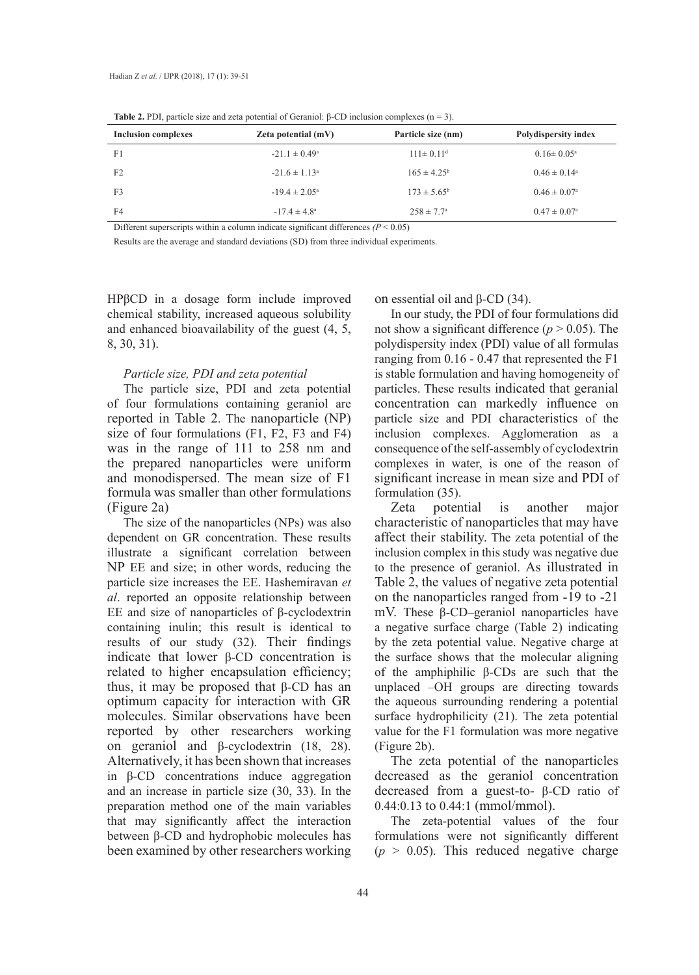| <b>Rapic 2.</b> 1 Dr. particle size and zeta potential of Geramor. $p$ -CD memsion compresses (if $\rightarrow$ ). |                            |                             |                            |  |  |
|--------------------------------------------------------------------------------------------------------------------|----------------------------|-----------------------------|----------------------------|--|--|
| <b>Inclusion complexes</b>                                                                                         | <b>Zeta potential (mV)</b> | Particle size (nm)          | Polydispersity index       |  |  |
| F1                                                                                                                 | $-21.1 \pm 0.49^{\circ}$   | $111 \pm 0.11$ <sup>d</sup> | $0.16 \pm 0.05^{\text{a}}$ |  |  |
| F <sub>2</sub>                                                                                                     | $-21.6 \pm 1.13^{\circ}$   | $165 \pm 4.25^{\rm b}$      | $0.46 \pm 0.14^{\circ}$    |  |  |
| F <sub>3</sub>                                                                                                     | $-19.4 \pm 2.05^{\circ}$   | $173 \pm 5.65^{\circ}$      | $0.46 \pm 0.07^{\circ}$    |  |  |
| F <sub>4</sub>                                                                                                     | $-17.4 \pm 4.8^{\circ}$    | $258 \pm 7.7^{\circ}$       | $0.47 \pm 0.07^{\circ}$    |  |  |

**Table 2.** PDI, particle size and zeta potential of Geraniol: β-CD inclusion complexes (n = 3).

Different superscripts within a column indicate significant differences  $(P < 0.05)$ 

Results are the average and standard deviations (SD) from three individual experiments.

HPβCD in a dosage form include improved chemical stability, increased aqueous solubility and enhanced bioavailability of the guest (4, 5, 8, 30, 31).

### *Particle size, PDI and zeta potential*

The particle size, PDI and zeta potential of four formulations containing geraniol are reported in Table 2. The nanoparticle (NP) size of four formulations (F1, F2, F3 and F4) was in the range of 111 to 258 nm and the prepared nanoparticles were uniform and monodispersed. The mean size of F1 formula was smaller than other formulations (Figure 2a)

The size of the nanoparticles (NPs) was also dependent on GR concentration. These results illustrate a significant correlation between NP EE and size; in other words, reducing the particle size increases the EE. Hashemiravan *et al*. reported an opposite relationship between EE and size of nanoparticles of β-cyclodextrin containing inulin; this result is identical to results of our study (32). Their findings indicate that lower β-CD concentration is related to higher encapsulation efficiency; thus, it may be proposed that  $β$ -CD has an optimum capacity for interaction with GR molecules. Similar observations have been reported by other researchers working on geraniol and β-cyclodextrin (18, 28). Alternatively, it has been shown that increases in β-CD concentrations induce aggregation and an increase in particle size (30, 33). In the preparation method one of the main variables that may significantly affect the interaction between β-CD and hydrophobic molecules has been examined by other researchers working on essential oil and  $β$ -CD (34).

In our study, the PDI of four formulations did not show a significant difference ( $p > 0.05$ ). The polydispersity index (PDI) value of all formulas ranging from 0.16 - 0.47 that represented the F1 is stable formulation and having homogeneity of particles. These results indicated that geranial concentration can markedly influence on particle size and PDI characteristics of the inclusion complexes. Agglomeration as a consequence of the self-assembly of cyclodextrin complexes in water, is one of the reason of significant increase in mean size and PDI of formulation (35).

Zeta potential is another major characteristic of nanoparticles that may have affect their stability. The zeta potential of the inclusion complex in this study was negative due to the presence of geraniol. As illustrated in Table 2, the values of negative zeta potential on the nanoparticles ranged from -19 to -21 mV. These β-CD–geraniol nanoparticles have a negative surface charge (Table 2) indicating by the zeta potential value. Negative charge at the surface shows that the molecular aligning of the amphiphilic β-CDs are such that the unplaced –OH groups are directing towards the aqueous surrounding rendering a potential surface hydrophilicity (21). The zeta potential value for the F1 formulation was more negative (Figure 2b).

The zeta potential of the nanoparticles decreased as the geraniol concentration decreased from a guest-to- β-CD ratio of 0.44:0.13 to 0.44:1 (mmol/mmol).

The zeta-potential values of the four formulations were not significantly different  $(p > 0.05)$ . This reduced negative charge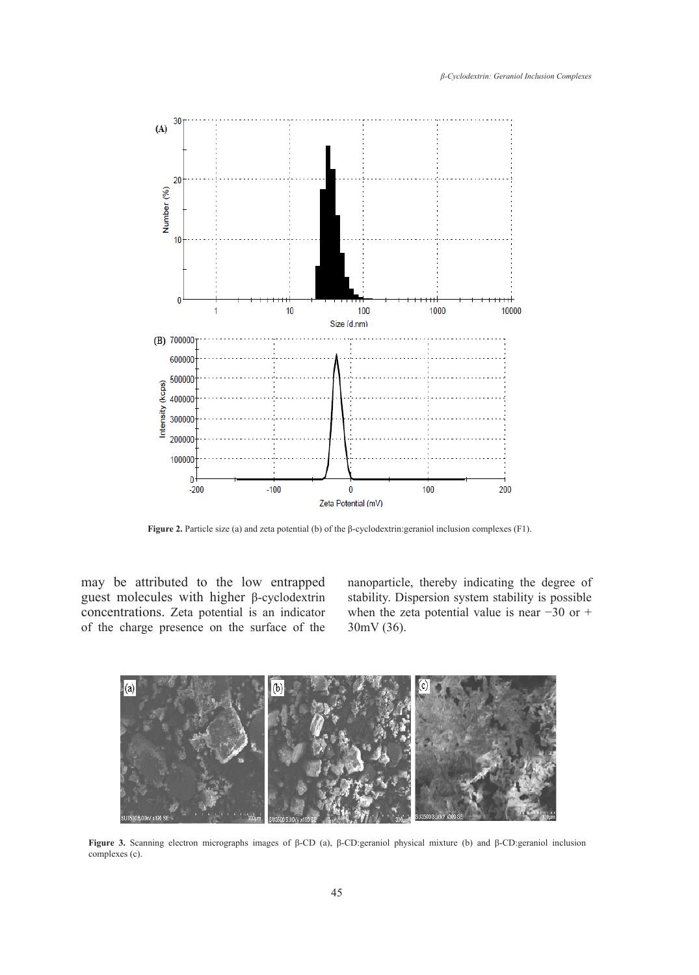

**Figure 2.** Particle size (a) and zeta potential (b) of the β-cyclodextrin:geraniol inclusion complexes (F1). **Figure 2.** Particle size (a) and zeta potential (b) of the  $\beta$ -cyclodextrin: geraniol inclusion complexes (F1).

may be attributed to the low entrapped nanoparticle, thereby indicating the deg guest molecules with higher β-cyclodextrin stabi concentrations. Zeta potential is an indicator of the charge presence on the surface of the  $30 \text{mV} (36)$ . The size of the nanoparticles (NPs) was also dependent on GR concentration. These results higher encapsulation efficiency; the proposed that  $\mathbb{R}$ -CD has an optimum capacity  $\mathbb{R}$ -CD has an optimum capacity  $\mathbb{R}$ Figure 3c, the geraniol and β-cyclodextrin inclusion complex has great uniformity in its

nanoparticle, thereby indicating the degree of ales with higher β-cyclodextrin stability. Dispersion system stability is possible ns. Zeta potential is an indicator when the zeta potential value is near −30 or + 30mV (36). ributed to the low entrapped analogariticle, thereby indicating the degree



**Figure 3.** Scanning electron micrographs images of β-CD (a), β-CD:geraniol physical mixture (b) and β-CD:geraniol inclusion **Figure 3.** Scanning electron micrographs images of β-CD (a), β-CD:geraniol physical complexes (c).  $\text{es}(\text{c})$ .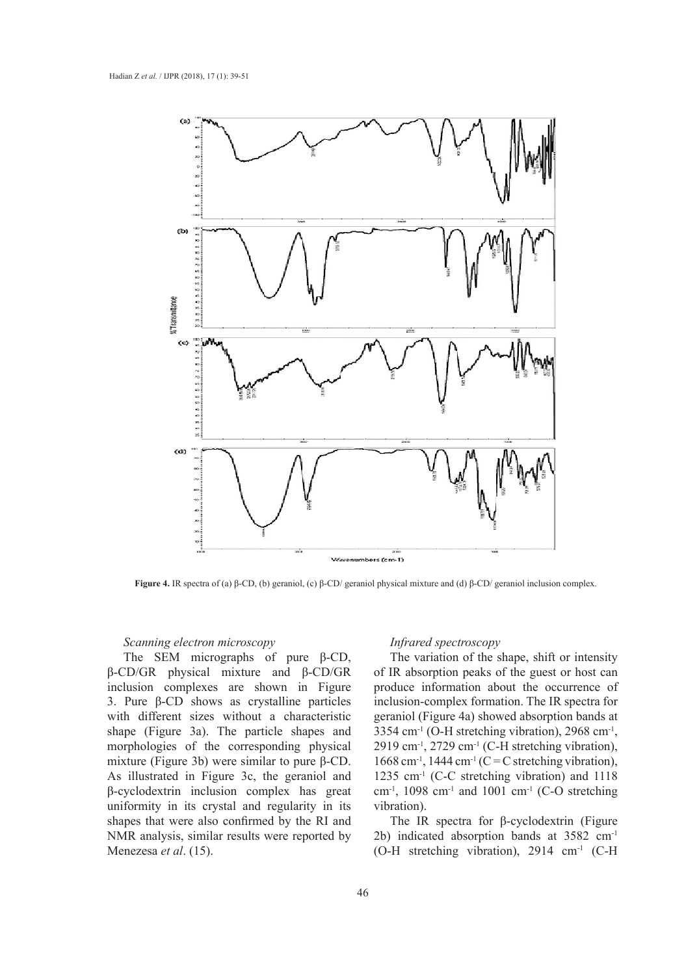

**Figure 4.** IR spectra of (a) β-CD, (b) geraniol, (c) β-CD/ geraniol physical mixture and (d) β-CD/ geraniol inclusion complex.

## **Scanning electron microscopy**

The SEM micrographs of pure β-CD, β-CD/GR physical mixture and β-CD/GR inclusion complexes are shown in Figure 3. Pure β-CD shows as crystalline particles with different sizes without a characteristic shape (Figure 3a). The particle shapes and morphologies of the corresponding physical mixture (Figure 3b) were similar to pure β-CD. As illustrated in Figure 3c, the geraniol and β-cyclodextrin inclusion complex has great uniformity in its crystal and regularity in its vibration). shapes that were also confirmed by the RI and NMR analysis, similar results were reported by Menezesa *et al*. (15).

### *Infrared spectroscopy*

EM micrographs of pure  $\beta$ -CD, The variation of the shape, shift or intensity physical mixture and  $β$ -CD/GR of IR absorption peaks of the guest or host can complexes are shown in Figure produce information about the occurrence of CD shows as crystalline particles inclusion-complex formation. The IR spectra for ent sizes without a characteristic geraniol (Figure 4a) showed absorption bands at ure 3a). The particle shapes and 3354 cm<sup>-1</sup> (O-H stretching vibration), 2968 cm<sup>-1</sup>, es of the corresponding physical  $2919 \text{ cm}^{-1}$ , 2729 cm<sup>-1</sup> (C-H stretching vibration), gure 3b) were similar to pure β-CD.  $1668 \text{ cm}^{-1}$ , 1444 cm<sup>-1</sup> (C = C stretching vibration), ed in Figure 3c, the geraniol and  $1235 \text{ cm}^{-1}$  (C-C stretching vibration) and 1118 trin inclusion complex has great  $\text{cm}^{-1}$ , 1098 cm<sup>-1</sup> and 1001 cm<sup>-1</sup> (C-O stretching vibration).

were also confirmed by the RI and  $\qquad$  The IR spectra for β-cyclodextrin (Figure  $v\sin$ , similar results were reported by 2b) indicated absorption bands at 3582 cm<sup>-1</sup> *t al.* (15). (O-H stretching vibration), 2914 cm<sup>-1</sup> (C-H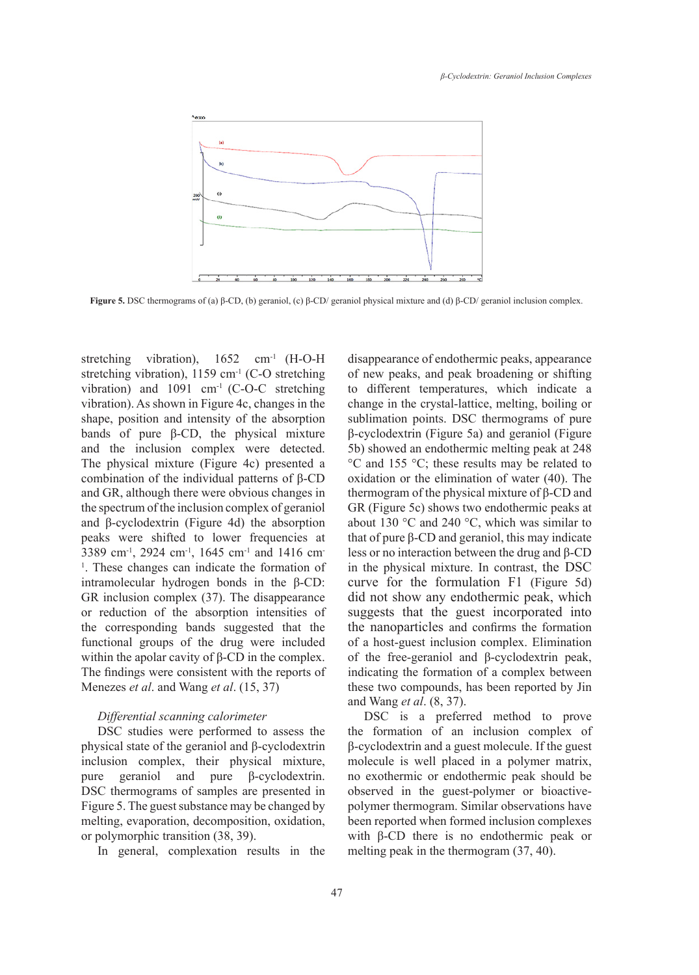

**Figure 5.** DSC thermograms of (a) β-CD, (b) geraniol, (c) β-CD/ geraniol physical mixture and (d) β-CD/ geraniol inclusion complex. mixture and (d) β-CD/ geraniol inclusion complex.

stretching vibration),  $1652$  cm<sup>-1</sup> (H-O-H) stretching vibration),  $1159 \text{ cm}^{-1}$  (C-O stretching vibration) and  $1091 \text{ cm}^{-1}$  (C-O-C stretching to different temperatures, which vibration). As shown in Figure 4c, changes in the shape, position and intensity of the absorption bands of pure  $\beta$ -CD, the physical mixture and the inclusion complex were detected. The physical mixture (Figure 4c) presented a combination of the individual patterns of β-CD and GR, although there were obvious changes in the spectrum of the inclusion complex of geraniol and β-cyclodextrin (Figure 4d) the absorption peaks were shifted to lower frequencies at 3389 cm-1, 2924 cm-1, 1645 cm-1 and 1416 cm-<sup>1</sup>. These changes can indicate the formation of intramolecular hydrogen bonds in the β-CD: GR inclusion complex (37). The disappearance or reduction of the absorption intensities of the corresponding bands suggested that the functional groups of the drug were included within the apolar cavity of  $\beta$ -CD in the complex. The findings were consistent with the reports of Menezes *et al*. and Wang *et al*. (15, 37)

### *Differential scanning calorimeter*

DSC studies were performed to assess the physical state of the geraniol and β-cyclodextrin inclusion complex, their physical mixture, pure geraniol and pure β-cyclodextrin. DSC thermograms of samples are presented in Figure 5. The guest substance may be changed by melting, evaporation, decomposition, oxidation, or polymorphic transition (38, 39).

In general, complexation results in the

 $h_{1}$ , 1652 cm<sup>-1</sup> (H-O-H disappearance of endothermic peaks, appearance 1159 cm<sup>-1</sup> (C-O stretching of new peaks, and peak broadening or shifting 1 cm<sup>-1</sup> (C-O-C stretching to different temperatures, which indicate a in Figure 4c, changes in the change in the crystal-lattice, melting, boiling or nsity of the absorption sublimation points. DSC thermograms of pure physical mixture  $β$ -cyclodextrin (Figure 5a) and geraniol (Figure  $E_5$ , the  $\frac{1}{2}$  projection complex is formulated. The inclusion complex is detected. Sb) showed an endothermic melting peak at 248 e (Figure 4c) presented a  $\degree$ C and 155  $\degree$ C; these results may be related to oxidation or the elimination of water (40). The upfield individual patterns of β-CD was observed on the elimination of water (40). The re were obvious changes in thermogram of the physical mixture of β-CD and Figure 5c) shows two endothermic peaks at clusion complex of geraniol GR (Figure 5c) shows two endothermic peaks at about 130 °C and 240 °C, which was similar to that of pure β-CD and geraniol, this may indicate less or no interaction between the drug and β-CD in the physical mixture. In contrast, the DSC curve for the formulation F1 (Figure 5d) did not show any endothermic peak, which suggests that the guest incorporated into the nanoparticles and confirms the formation of a host-guest inclusion complex. Elimination of the free-geraniol and β-cyclodextrin peak, indicating the formation of a complex between these two compounds, has been reported by Jin and Wang *et al*. (8, 37). complex were detected. 50) showed an endothermic meltinaividual patterns of  $p$ -CD solution of the elimination of w

> DSC is a preferred method to prove the formation of an inclusion complex of β-cyclodextrin and a guest molecule. If the guest molecule is well placed in a polymer matrix, no exothermic or endothermic peak should be observed in the guest-polymer or bioactivepolymer thermogram. Similar observations have been reported when formed inclusion complexes with β-CD there is no endothermic peak or melting peak in the thermogram (37, 40).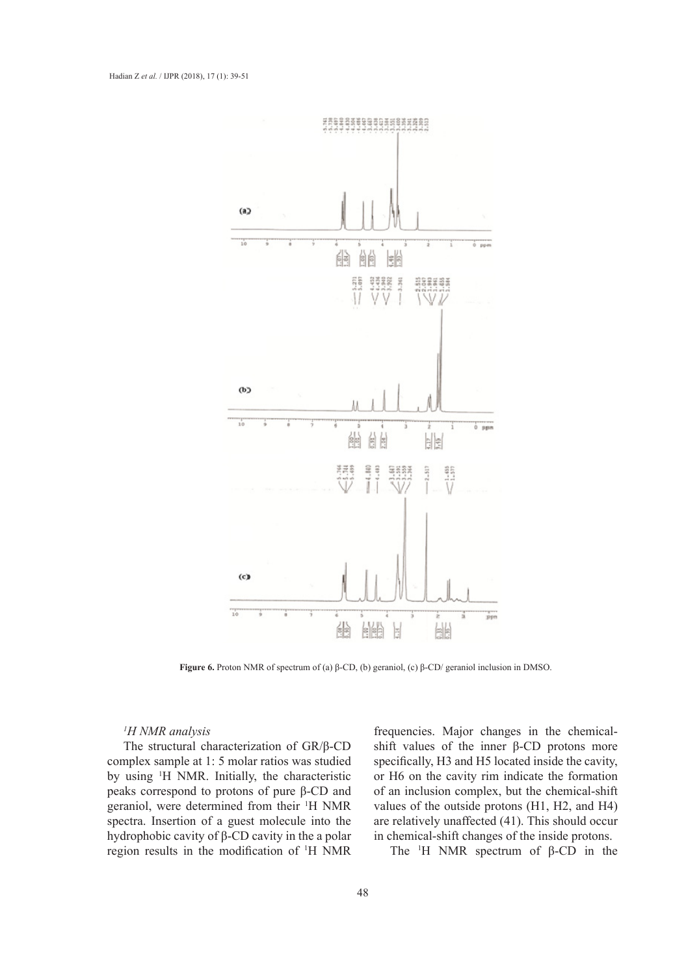

**Figure 6.** Proton NMR of spectrum of (a) β-CD, (b) geraniol, (c) β-CD/ geraniol inclusion in DMSO. **Figure 6.** Proton NMR of spectrum of (a) β-CD, (b) geraniol,

### *1 H NMR analysis*

The structural characterization of GR/β-CD complex sample at 1: 5 molar ratios was studied by using 1 H NMR. Initially, the characteristic peaks correspond to protons of pure β-CD and geraniol, were determined from their 1 H NMR spectra. Insertion of a guest molecule into the hydrophobic cavity of β-CD cavity in the a polar region results in the modification of <sup>1</sup> H NMR

frequencies. Major changes in the chemicalshift values of the inner β-CD protons more specifically,  $H3$  and  $H5$  located inside the cavity, or H6 on the cavity rim indicate the formation d to protons of pure  $\beta$ -CD and of an inclusion complex, but the chemical-shift determined from their HAND complexes of the entities material HAND cond HAN values of the outside protons (H1, H2, and H4) are relatively unaffected  $(41)$ . This should occur in of a guest molecule into the are relatively unaffected  $(41)$ . This should occur vity of  $\beta$ -CD cavity in the a polar in chemical-shift changes of the inside protons.

1 the modification of <sup>1</sup>H NMR The <sup>1</sup>H NMR spectrum of β-CD in the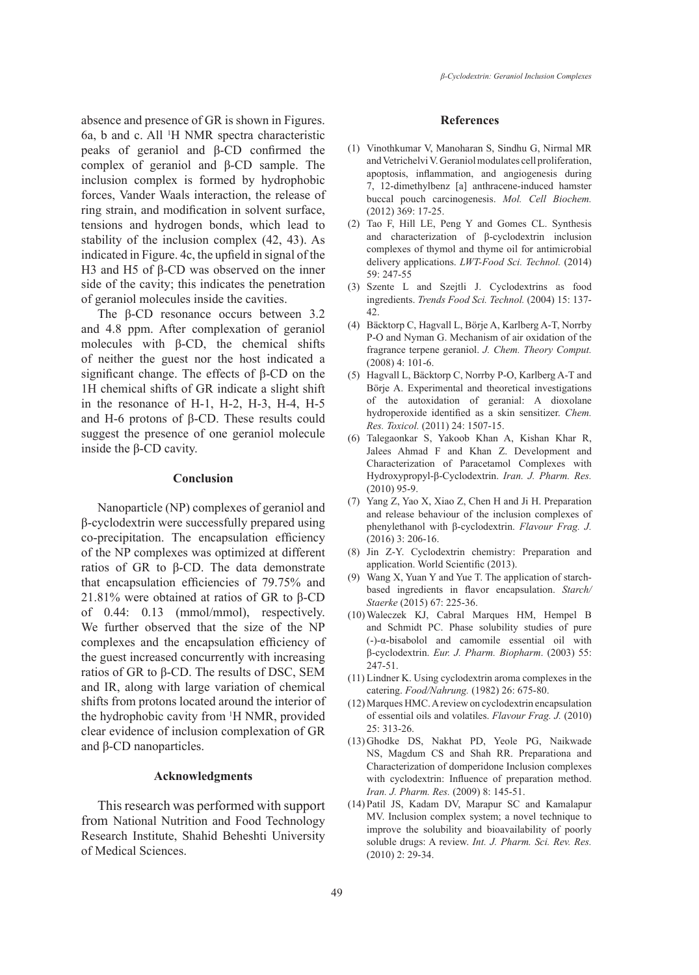absence and presence of GR is shown in Figures. 6a, b and c. All <sup>1</sup> H NMR spectra characteristic peaks of geraniol and β-CD confirmed the complex of geraniol and β-CD sample. The inclusion complex is formed by hydrophobic forces, Vander Waals interaction, the release of ring strain, and modification in solvent surface, tensions and hydrogen bonds, which lead to stability of the inclusion complex (42, 43). As indicated in Figure. 4c, the upfield in signal of the H3 and H5 of β*-*CD was observed on the inner side of the cavity; this indicates the penetration of geraniol molecules inside the cavities.

The β-CD resonance occurs between 3.2 and 4.8 ppm. After complexation of geraniol molecules with  $\beta$ -CD, the chemical shifts of neither the guest nor the host indicated a significant change. The effects of β-CD on the 1H chemical shifts of GR indicate a slight shift in the resonance of H-1, H-2, H-3, H-4, H-5 and H-6 protons of β-CD. These results could suggest the presence of one geraniol molecule inside the β-CD cavity.

### **Conclusion**

Nanoparticle (NP) complexes of geraniol and β-cyclodextrin were successfully prepared using co-precipitation. The encapsulation efficiency of the NP complexes was optimized at different ratios of GR to β-CD. The data demonstrate that encapsulation efficiencies of 79.75% and 21.81% were obtained at ratios of GR to β-CD of 0.44: 0.13 (mmol/mmol), respectively. We further observed that the size of the NP complexes and the encapsulation efficiency of the guest increased concurrently with increasing ratios of GR to β-CD. The results of DSC, SEM and IR, along with large variation of chemical shifts from protons located around the interior of the hydrophobic cavity from <sup>1</sup> H NMR, provided clear evidence of inclusion complexation of GR and β-CD nanoparticles.

### **Acknowledgments**

This research was performed with support from National Nutrition and Food Technology Research Institute, Shahid Beheshti University of Medical Sciences.

### **References**

- Vinothkumar V, Manoharan S, Sindhu G, Nirmal MR (1) and Vetrichelvi V. Geraniol modulates cell proliferation, apoptosis, inflammation, and angiogenesis during 7, 12-dimethylbenz [a] anthracene-induced hamster buccal pouch carcinogenesis. *Mol. Cell Biochem.* (2012) 369: 17-25.
- (2) Tao F, Hill LE, Peng Y and Gomes CL. Synthesis and characterization of β-cyclodextrin inclusion complexes of thymol and thyme oil for antimicrobial delivery applications. *LWT-Food Sci. Technol.* (2014) 59: 247-55
- (3) Szente L and Szejtli J. Cyclodextrins as food ingredients. *Trends Food Sci. Technol.* (2004) 15: 137- 42.
- Bäcktorp C, Hagvall L, Börje A, Karlberg A-T, Norrby (4) P-O and Nyman G. Mechanism of air oxidation of the fragrance terpene geraniol. *J. Chem. Theory Comput.* (2008) 4: 101-6.
- (5) Hagvall L, Bäcktorp C, Norrby P-O, Karlberg A-T and Börje A. Experimental and theoretical investigations of the autoxidation of geranial: A dioxolane hydroperoxide identified as a skin sensitizer. *Chem. Res. Toxicol.* (2011) 24: 1507-15.
- Talegaonkar S, Yakoob Khan A, Kishan Khar R, (6) Jalees Ahmad F and Khan Z. Development and Characterization of Paracetamol Complexes with Hydroxypropyl-β-Cyclodextrin. *Iran. J. Pharm. Res.* (2010) 95-9.
- (7) Yang Z, Yao X, Xiao Z, Chen H and Ji H. Preparation and release behaviour of the inclusion complexes of phenylethanol with β-cyclodextrin. *Flavour Frag. J.* (2016) 3: 206-16.
- (8) Jin Z-Y. Cyclodextrin chemistry: Preparation and application. World Scientific (2013).
- Wang X, Yuan Y and Yue T. The application of starch-(9) based ingredients in flavor encapsulation. *Starch/ Staerke* (2015) 67: 225-36.
- Waleczek KJ, Cabral Marques HM, Hempel B (10) and Schmidt PC. Phase solubility studies of pure (-)-α-bisabolol and camomile essential oil with β-cyclodextrin. *Eur. J. Pharm. Biopharm*. (2003) 55: 247-51.
- $(11)$  Lindner K. Using cyclodextrin aroma complexes in the catering. *Food/Nahrung.* (1982) 26: 675-80.
- Marques HMC. A review on cyclodextrin encapsulation (12) of essential oils and volatiles. *Flavour Frag. J.* (2010) 25: 313-26.
- (13) Ghodke DS, Nakhat PD, Yeole PG, Naikwade NS, Magdum CS and Shah RR. Preparationa and Characterization of domperidone Inclusion complexes with cyclodextrin: Influence of preparation method. *Iran. J. Pharm. Res.* (2009) 8: 145-51.
- Patil JS, Kadam DV, Marapur SC and Kamalapur (14)MV. Inclusion complex system; a novel technique to improve the solubility and bioavailability of poorly soluble drugs: A review. *Int. J. Pharm. Sci. Rev. Res.* (2010) 2: 29-34.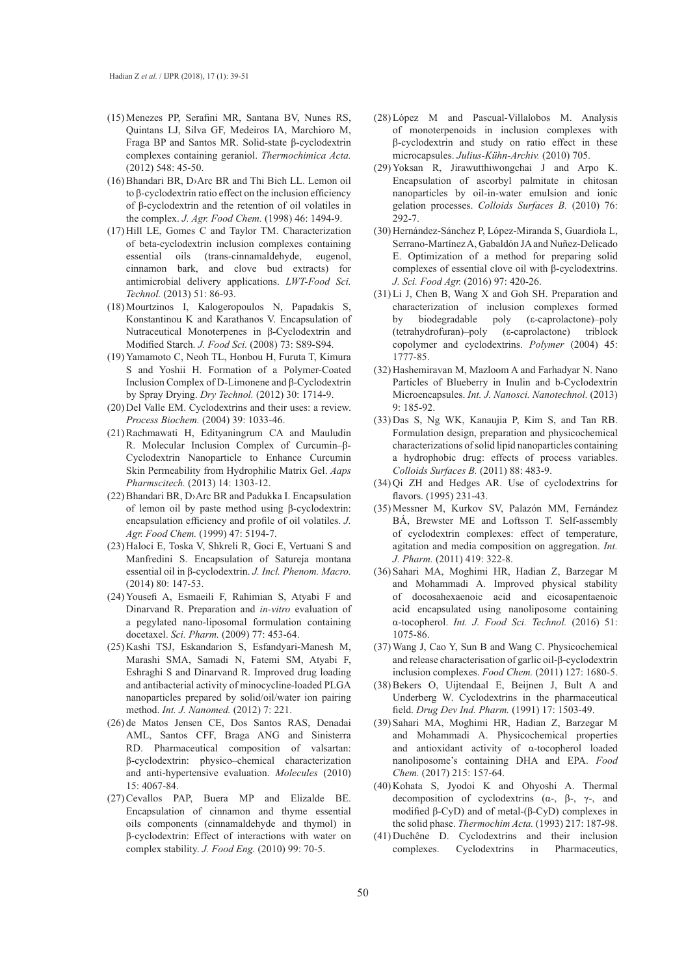- Menezes PP, Serafini MR, Santana BV, Nunes RS, (15) Quintans LJ, Silva GF, Medeiros IA, Marchioro M, Fraga BP and Santos MR. Solid-state β-cyclodextrin complexes containing geraniol. *Thermochimica Acta.* (2012) 548: 45-50.
- $(16)$  Bhandari BR, D>Arc BR and Thi Bich LL. Lemon oil to β-cyclodextrin ratio effect on the inclusion efficiency of β-cyclodextrin and the retention of oil volatiles in the complex. *J. Agr. Food Chem.* (1998) 46: 1494-9.
- $(17)$  Hill LE, Gomes C and Taylor TM. Characterization of beta-cyclodextrin inclusion complexes containing essential oils (trans-cinnamaldehyde, eugenol, cinnamon bark, and clove bud extracts) for antimicrobial delivery applications. *LWT-Food Sci. Technol.* (2013) 51: 86-93.
- Mourtzinos I, Kalogeropoulos N, Papadakis S, (18) Konstantinou K and Karathanos V. Encapsulation of Nutraceutical Monoterpenes in β-Cyclodextrin and Modified Starch. *J. Food Sci.* (2008) 73: S89-S94.
- (19) Yamamoto C, Neoh TL, Honbou H, Furuta T, Kimura S and Yoshii H. Formation of a Polymer-Coated Inclusion Complex of D-Limonene and β-Cyclodextrin by Spray Drying. *Dry Technol.* (2012) 30: 1714-9.
- $(20)$  Del Valle EM. Cyclodextrins and their uses: a review. *Process Biochem.* (2004) 39: 1033-46.
- $(21)$  Rachmawati H, Edityaningrum CA and Mauludin R. Molecular Inclusion Complex of Curcumin–β-Cyclodextrin Nanoparticle to Enhance Curcumin Skin Permeability from Hydrophilic Matrix Gel. *Aaps Pharmscitech.* (2013) 14: 1303-12.
- $(22)$  Bhandari BR, D>Arc BR and Padukka I. Encapsulation of lemon oil by paste method using β-cyclodextrin: encapsulation efficiency and profile of oil volatiles. *J. Agr. Food Chem.* (1999) 47: 5194-7.
- (23) Haloci E, Toska V, Shkreli R, Goci E, Vertuani S and Manfredini S. Encapsulation of Satureja montana essential oil in β-cyclodextrin. *J. Incl. Phenom. Macro.* (2014) 80: 147-53.
- (24) Yousefi A, Esmaeili F, Rahimian S, Atyabi F and Dinarvand R. Preparation and *in-vitro* evaluation of a pegylated nano-liposomal formulation containing docetaxel. *Sci. Pharm.* (2009) 77: 453-64.
- (25) Kashi TSJ, Eskandarion S, Esfandyari-Manesh M, Marashi SMA, Samadi N, Fatemi SM, Atyabi F, Eshraghi S and Dinarvand R. Improved drug loading and antibacterial activity of minocycline-loaded PLGA nanoparticles prepared by solid/oil/water ion pairing method. *Int. J. Nanomed.* (2012) 7: 221.
- (26) de Matos Jensen CE, Dos Santos RAS, Denadai AML, Santos CFF, Braga ANG and Sinisterra RD. Pharmaceutical composition of valsartan: β-cyclodextrin: physico–chemical characterization and anti-hypertensive evaluation. *Molecules* (2010) 15: 4067-84.
- $(27)$  Cevallos PAP, Buera MP and Elizalde BE. Encapsulation of cinnamon and thyme essential oils components (cinnamaldehyde and thymol) in β-cyclodextrin: Effect of interactions with water on complex stability. *J. Food Eng.* (2010) 99: 70-5.
- López M and Pascual-Villalobos M. Analysis (28) of monoterpenoids in inclusion complexes with β-cyclodextrin and study on ratio effect in these microcapsules. *Julius-Kühn-Archiv.* (2010) 705.
- $(29)$  Yoksan R, Jirawutthiwongchai J and Arpo K. Encapsulation of ascorbyl palmitate in chitosan nanoparticles by oil-in-water emulsion and ionic gelation processes. *Colloids Surfaces B.* (2010) 76: 292-7.
- (30) Hernández-Sánchez P, López-Miranda S, Guardiola L, Serrano-Martínez A, Gabaldón JA and Nuñez-Delicado E. Optimization of a method for preparing solid complexes of essential clove oil with β-cyclodextrins. *J. Sci. Food Agr.* (2016) 97: 420-26.
- $(31)$  Li J, Chen B, Wang X and Goh SH. Preparation and characterization of inclusion complexes formed<br>by biodegradable poly ( $\varepsilon$ -caprolactone)-poly by biodegradable poly (ε-caprolactone)–poly (tetrahydrofuran)–poly (ε-caprolactone) triblock copolymer and cyclodextrins. *Polymer* (2004) 45: 1777-85.
- (32) Hashemiravan M, Mazloom A and Farhadyar N. Nano Particles of Blueberry in Inulin and b-Cyclodextrin Microencapsules. *Int. J. Nanosci. Nanotechnol.* (2013) 9: 185-92.
- Das S, Ng WK, Kanaujia P, Kim S, and Tan RB. (33) Formulation design, preparation and physicochemical characterizations of solid lipid nanoparticles containing a hydrophobic drug: effects of process variables. *Colloids Surfaces B.* (2011) 88: 483-9.
- $(34)$  Qi ZH and Hedges AR. Use of cyclodextrins for flavors. (1995) 231-43.
- (35) Messner M, Kurkov SV, Palazón MM, Fernández BÁ, Brewster ME and Loftsson T. Self-assembly of cyclodextrin complexes: effect of temperature, agitation and media composition on aggregation. *Int. J. Pharm.* (2011) 419: 322-8.
- (36) Sahari MA, Moghimi HR, Hadian Z, Barzegar M and Mohammadi A. Improved physical stability of docosahexaenoic acid and eicosapentaenoic acid encapsulated using nanoliposome containing α-tocopherol. *Int. J. Food Sci. Technol.* (2016) 51: 1075-86.
- Wang J, Cao Y, Sun B and Wang C. Physicochemical (37) and release characterisation of garlic oil-β-cyclodextrin inclusion complexes. *Food Chem.* (2011) 127: 1680-5.
- (38) Bekers O, Uijtendaal E, Beijnen J, Bult A and Underberg W. Cyclodextrins in the pharmaceutical field. *Drug Dev Ind. Pharm.* (1991) 17: 1503-49.
- (39) Sahari MA, Moghimi HR, Hadian Z, Barzegar M and Mohammadi A. Physicochemical properties and antioxidant activity of α-tocopherol loaded nanoliposome's containing DHA and EPA. *Food Chem.* (2017) 215: 157-64.
- $(40)$  Kohata S, Jyodoi K and Ohyoshi A. Thermal decomposition of cyclodextrins ( $\alpha$ -,  $\beta$ -,  $\gamma$ -, and modified β-CyD) and of metal- $(β$ -CyD) complexes in the solid phase. *Thermochim Acta.* (1993) 217: 187-98.
- $(41)$  Duchêne D. Cyclodextrins and their inclusion complexes. Cyclodextrins in Pharmaceutics,